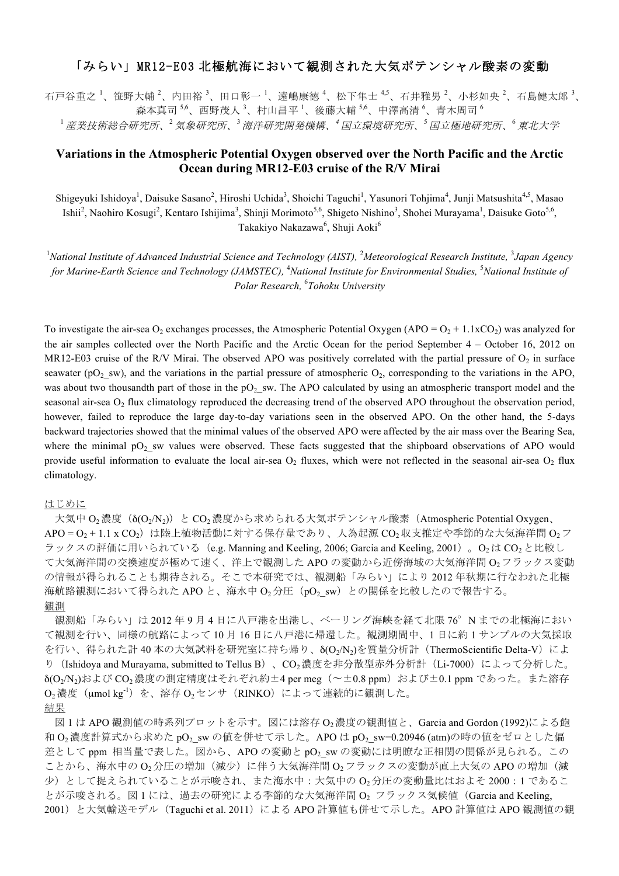## 「みらい」MR12-E03 北極航海において観測された大気ポテンシャル酸素の変動

石戸谷重之 '、笹野大輔 <sup>2</sup>、内田裕 <sup>3</sup>、田口彰一 <sup>1</sup>、遠嶋康徳 <sup>4</sup>、松下隼士 <sup>4,5</sup>、石井雅男 <sup>2</sup>、小杉如央 <sup>2</sup>、石島健太郎 <sup>3</sup>、 森本真司 <sup>5,6</sup>、西野茂人 <sup>3</sup>、村山昌平 <sup>1</sup>、後藤大輔 <sup>5,6</sup>、中澤高清 <sup>6</sup>、青木周司 <sup>6</sup> <sup>1</sup>産業技術総合研究所、<sup>2</sup>気象研究所、<sup>3</sup>海洋研究開発機構、*<sup>4</sup>*国立環境研究所、<sup>5</sup>国立極地研究所、<sup>6</sup>東北大学

## **Variations in the Atmospheric Potential Oxygen observed over the North Pacific and the Arctic Ocean during MR12-E03 cruise of the R/V Mirai**

Shigeyuki Ishidoya<sup>1</sup>, Daisuke Sasano<sup>2</sup>, Hiroshi Uchida<sup>3</sup>, Shoichi Taguchi<sup>1</sup>, Yasunori Tohjima<sup>4</sup>, Junji Matsushita<sup>4,5</sup>, Masao Ishii<sup>2</sup>, Naohiro Kosugi<sup>2</sup>, Kentaro Ishijima<sup>3</sup>, Shinji Morimoto<sup>5,6</sup>, Shigeto Nishino<sup>3</sup>, Shohei Murayama<sup>1</sup>, Daisuke Goto<sup>5,6</sup>, Takakiyo Nakazawa<sup>6</sup>, Shuji Aoki<sup>6</sup>

<sup>1</sup>National Institute of Advanced Industrial Science and Technology (AIST), <sup>2</sup>Meteorological Research Institute, <sup>3</sup>Japan Agency *for Marine-Earth Science and Technology (JAMSTEC),* <sup>4</sup> *National Institute for Environmental Studies,* <sup>5</sup> *National Institute of Polar Research,* <sup>6</sup> *Tohoku University*

To investigate the air-sea  $O_2$  exchanges processes, the Atmospheric Potential Oxygen (APO =  $O_2$  + 1.1xCO<sub>2</sub>) was analyzed for the air samples collected over the North Pacific and the Arctic Ocean for the period September 4 – October 16, 2012 on MR12-E03 cruise of the R/V Mirai. The observed APO was positively correlated with the partial pressure of  $O_2$  in surface seawater ( $pO_2$  sw), and the variations in the partial pressure of atmospheric  $O_2$ , corresponding to the variations in the APO, was about two thousandth part of those in the  $pO_2$  sw. The APO calculated by using an atmospheric transport model and the seasonal air-sea  $O_2$  flux climatology reproduced the decreasing trend of the observed APO throughout the observation period, however, failed to reproduce the large day-to-day variations seen in the observed APO. On the other hand, the 5-days backward trajectories showed that the minimal values of the observed APO were affected by the air mass over the Bearing Sea, where the minimal  $pO_2$  sw values were observed. These facts suggested that the shipboard observations of APO would provide useful information to evaluate the local air-sea  $O_2$  fluxes, which were not reflected in the seasonal air-sea  $O_2$  flux climatology.

## はじめに

大気中 O<sub>2</sub>濃度 (δ(O<sub>2</sub>/N<sub>2</sub>)) と CO<sub>2</sub>濃度から求められる大気ポテンシャル酸素 (Atmospheric Potential Oxygen、 APO =  $O_2$  + 1.1 x CO<sub>2</sub>) は陸上植物活動に対する保存量であり、人為起源 CO<sub>2</sub>収支推定や季節的な大気海洋間 O<sub>2</sub> フ ラックスの評価に用いられている (e.g. Manning and Keeling, 2006; Garcia and Keeling, 2001)。O2は CO2と比較し て大気海洋間の交換速度が極めて速く、洋上で観測した APO の変動から近傍海域の大気海洋間 O2フラックス変動 の情報が得られることも期待される。そこで本研究では、観測船「みらい」により 2012 年秋期に行なわれた北極 海航路観測において得られた APO と、海水中  $O_2$ 分圧 (p $O_2$  sw) との関係を比較したので報告する。 観測

観測船「みらい」は 2012年9月4日に八戸港を出港し、ベーリング海峡を経て北限76°Nまでの北極海におい て観測を行い、同様の航路によって 10 月 16 日に八戸港に帰還した。観測期間中、1 日に約 1 サンプルの大気採取 を行い、得られた計 40 本の大気試料を研究室に持ち帰り、 $\delta(O_2/N_2)$ を質量分析計(ThermoScientific Delta-V)によ り (Ishidoya and Murayama, submitted to Tellus B)、CO2濃度を非分散型赤外分析計 (Li-7000) によって分析した。  $\delta(O_2/N_2)$ および CO<sub>2</sub>濃度の測定精度はそれぞれ約±4 per meg (~±0.8 ppm) および±0.1 ppm であった。また溶存  $O_2$ 濃度(µmol kg<sup>-1</sup>)を、溶存  $O_2$ センサ(RINKO)によって連続的に観測した。 結果

図1はAPO観測値の時系列プロットを示す。図には溶存O<sub>2</sub>濃度の観測値と、Garcia and Gordon (1992)による飽 和 O<sub>2</sub>濃度計算式から求めた pO<sub>2</sub>\_sw の値を併せて示した。APO は pO<sub>2</sub>\_sw=0.20946 (atm)の時の値をゼロとした偏 差として ppm 相当量で表した。図から、APO の変動と pO<sub>2</sub> sw の変動には明瞭な正相関の関係が見られる。この ことから、海水中の $O_2$ 分圧の増加(減少)に伴う大気海洋間 $O_2$ フラックスの変動が直上大気のAPO の増加(減 少)として捉えられていることが示唆され、また海水中:大気中の O2分圧の変動量比はおよそ 2000:1 であるこ とが示唆される。図1には、過去の研究による季節的な大気海洋間 $O_2$  フラックス気候値 (Garcia and Keeling, 2001)と大気輸送モデル (Taguchi et al. 2011)による APO 計算値も併せて示した。APO 計算値は APO 観測値の観